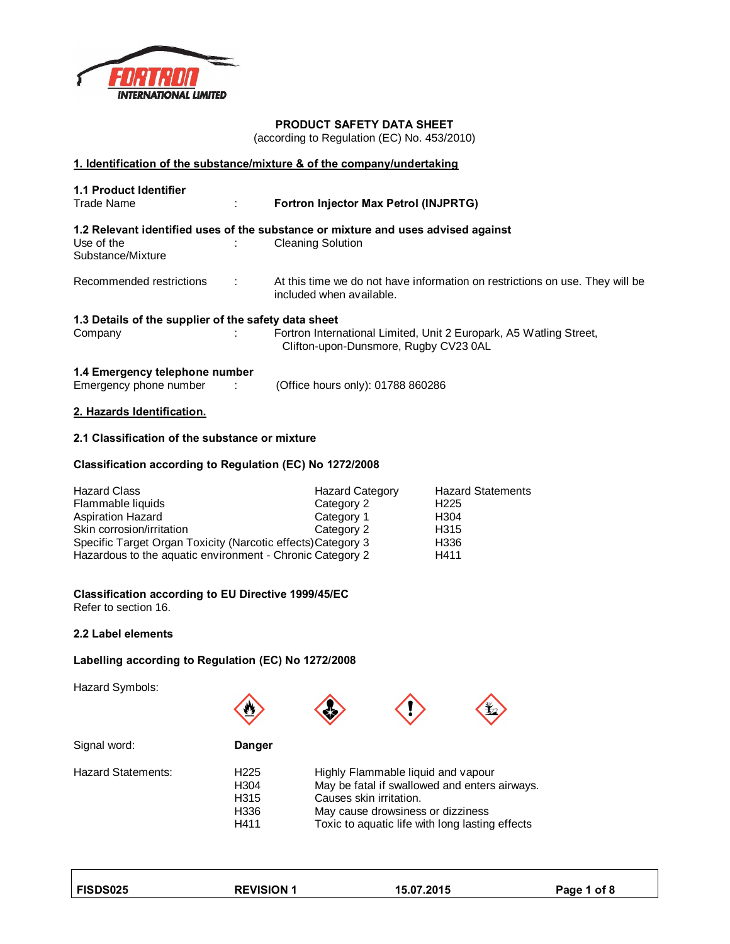

## **PRODUCT SAFETY DATA SHEET**

(according to Regulation (EC) No. 453/2010)

#### **1. Identification of the substance/mixture & of the company/undertaking**

| <b>1.1 Product Identifier</b><br><b>Trade Name</b>   | ÷ | Fortron Injector Max Petrol (INJPRTG)                                                                       |
|------------------------------------------------------|---|-------------------------------------------------------------------------------------------------------------|
|                                                      |   | 1.2 Relevant identified uses of the substance or mixture and uses advised against                           |
| Use of the<br>Substance/Mixture                      |   | <b>Cleaning Solution</b>                                                                                    |
| Recommended restrictions                             | ÷ | At this time we do not have information on restrictions on use. They will be<br>included when available.    |
| 1.3 Details of the supplier of the safety data sheet |   |                                                                                                             |
| Company                                              |   | Fortron International Limited, Unit 2 Europark, A5 Watling Street,<br>Clifton-upon-Dunsmore, Rugby CV23 0AL |
| 1.4 Emergency telephone number                       |   |                                                                                                             |

Emergency phone number : (Office hours only): 01788 860286

## **2. Hazards Identification.**

## **2.1 Classification of the substance or mixture**

## **Classification according to Regulation (EC) No 1272/2008**

| <b>Hazard Class</b>                                          | <b>Hazard Category</b> | <b>Hazard Statements</b> |
|--------------------------------------------------------------|------------------------|--------------------------|
| Flammable liquids                                            | Category 2             | H <sub>225</sub>         |
| <b>Aspiration Hazard</b>                                     | Category 1             | H <sub>304</sub>         |
| Skin corrosion/irritation                                    | Category 2             | H <sub>315</sub>         |
| Specific Target Organ Toxicity (Narcotic effects) Category 3 |                        | H336                     |
| Hazardous to the aquatic environment - Chronic Category 2    |                        | H411                     |

#### **Classification according to EU Directive 1999/45/EC**

Refer to section 16.

#### **2.2 Label elements**

# **Labelling according to Regulation (EC) No 1272/2008**

Hazard Symbols:







| Danger           |                                                 |
|------------------|-------------------------------------------------|
| H <sub>225</sub> | Highly Flammable liquid and vapour              |
| H <sub>304</sub> | May be fatal if swallowed and enters airways.   |
| H <sub>315</sub> | Causes skin irritation.                         |
| H336             | May cause drowsiness or dizziness               |
| H411             | Toxic to aquatic life with long lasting effects |
|                  |                                                 |

**FISDS025 REVISION 1 15.07.2015 Page 1 of 8**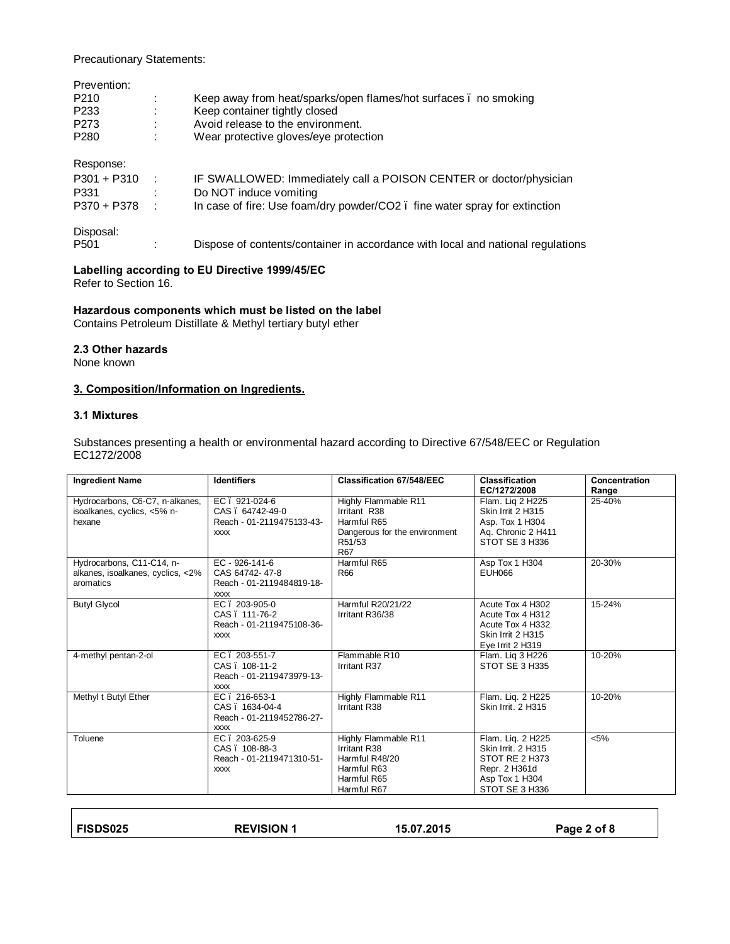Precautionary Statements:

| Prevention:      |        |                                                                                 |
|------------------|--------|---------------------------------------------------------------------------------|
| P <sub>210</sub> | ÷      | Keep away from heat/sparks/open flames/hot surfaces . no smoking                |
| P <sub>233</sub> |        | Keep container tightly closed                                                   |
| P273             |        | Avoid release to the environment.                                               |
| P <sub>280</sub> |        | Wear protective gloves/eye protection                                           |
| Response:        |        |                                                                                 |
| $P301 + P310$    | - 11   | IF SWALLOWED: Immediately call a POISON CENTER or doctor/physician              |
| P331             |        | Do NOT induce vomiting                                                          |
| P370 + P378      | in the | In case of fire: Use foam/dry powder/CO2. fine water spray for extinction       |
| Disposal:        |        |                                                                                 |
| P <sub>501</sub> |        | Dispose of contents/container in accordance with local and national regulations |

## **Labelling according to EU Directive 1999/45/EC**

Refer to Section 16.

## **Hazardous components which must be listed on the label**

Contains Petroleum Distillate & Methyl tertiary butyl ether

#### **2.3 Other hazards**

None known

## **3. Composition/Information on Ingredients.**

## **3.1 Mixtures**

Substances presenting a health or environmental hazard according to Directive 67/548/EEC or Regulation EC1272/2008

| <b>Ingredient Name</b>                                                      | <b>Identifiers</b>                                                                 | <b>Classification 67/548/EEC</b>                                                                             | <b>Classification</b><br>EC/1272/2008                                                                          | Concentration<br>Range |
|-----------------------------------------------------------------------------|------------------------------------------------------------------------------------|--------------------------------------------------------------------------------------------------------------|----------------------------------------------------------------------------------------------------------------|------------------------|
| Hydrocarbons, C6-C7, n-alkanes,<br>isoalkanes, cyclics, <5% n-<br>hexane    | EC. 921-024-6<br>CAS. 64742-49-0<br>Reach - 01-2119475133-43-<br><b>XXXX</b>       | Highly Flammable R11<br>Irritant R38<br>Harmful R65<br>Dangerous for the environment<br>R51/53<br><b>R67</b> | Flam. Lig 2 H225<br>Skin Irrit 2 H315<br>Asp. Tox 1 H304<br>Aq. Chronic 2 H411<br>STOT SE 3 H336               | 25-40%                 |
| Hydrocarbons, C11-C14, n-<br>alkanes, isoalkanes, cyclics, <2%<br>aromatics | $EC - 926 - 141 - 6$<br>CAS 64742-47-8<br>Reach - 01-2119484819-18-<br><b>XXXX</b> | Harmful R65<br>R66                                                                                           | Asp Tox 1 H304<br><b>EUH066</b>                                                                                | 20-30%                 |
| <b>Butyl Glycol</b>                                                         | EC. 203-905-0<br>CAS. 111-76-2<br>Reach - 01-2119475108-36-<br><b>XXXX</b>         | Harmful R20/21/22<br>Irritant R36/38                                                                         | Acute Tox 4 H302<br>Acute Tox 4 H312<br>Acute Tox 4 H332<br>Skin Irrit 2 H315<br>Eye Irrit 2 H319              | 15-24%                 |
| 4-methyl pentan-2-ol                                                        | EC. 203-551-7<br>CAS . 108-11-2<br>Reach - 01-2119473979-13-<br><b>XXXX</b>        | Flammable R10<br>Irritant R37                                                                                | Flam. Lig 3 H226<br>STOT SE 3 H335                                                                             | 10-20%                 |
| Methyl t Butyl Ether                                                        | EC. 216-653-1<br>CAS . 1634-04-4<br>Reach - 01-2119452786-27-<br><b>XXXX</b>       | Highly Flammable R11<br>Irritant R38                                                                         | Flam. Liq. 2 H225<br>Skin Irrit, 2 H315                                                                        | 10-20%                 |
| Toluene                                                                     | EC. 203-625-9<br>CAS . 108-88-3<br>Reach - 01-2119471310-51-<br><b>XXXX</b>        | Highly Flammable R11<br>Irritant R38<br>Harmful R48/20<br>Harmful R63<br>Harmful R65<br>Harmful R67          | Flam. Lig. 2 H225<br>Skin Irrit. 2 H315<br>STOT RE 2 H373<br>Repr. 2 H361d<br>Asp Tox 1 H304<br>STOT SE 3 H336 | < 5%                   |

| <b>FISDS025</b> | <b>REVISION 1</b> | 15.07.2015 | Page 2 of 8 |
|-----------------|-------------------|------------|-------------|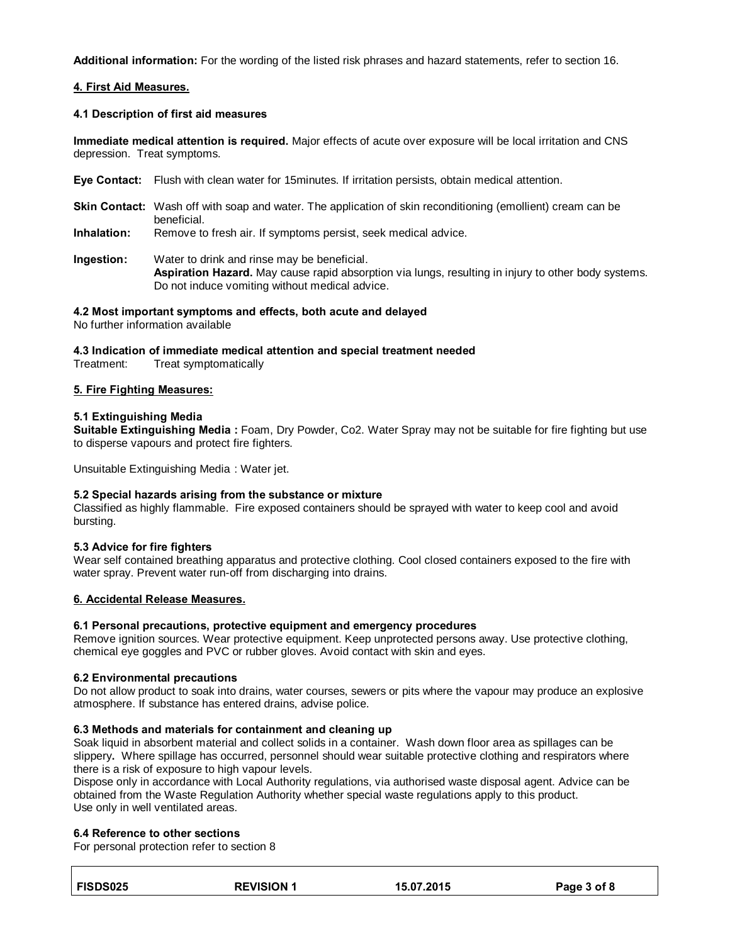**Additional information:** For the wording of the listed risk phrases and hazard statements, refer to section 16.

## **4. First Aid Measures.**

### **4.1 Description of first aid measures**

**Immediate medical attention is required.** Major effects of acute over exposure will be local irritation and CNS depression. Treat symptoms.

- **Eye Contact:** Flush with clean water for 15minutes. If irritation persists, obtain medical attention.
- **Skin Contact:** Wash off with soap and water. The application of skin reconditioning (emollient) cream can be beneficial.
- **Inhalation:** Remove to fresh air. If symptoms persist, seek medical advice.
- **Ingestion:** Water to drink and rinse may be beneficial. **Aspiration Hazard.** May cause rapid absorption via lungs, resulting in injury to other body systems. Do not induce vomiting without medical advice.

## **4.2 Most important symptoms and effects, both acute and delayed**

No further information available

**4.3 Indication of immediate medical attention and special treatment needed**

Treatment: Treat symptomatically

## **5. Fire Fighting Measures:**

## **5.1 Extinguishing Media**

**Suitable Extinguishing Media :** Foam, Dry Powder, Co2. Water Spray may not be suitable for fire fighting but use to disperse vapours and protect fire fighters.

Unsuitable Extinguishing Media : Water jet.

## **5.2 Special hazards arising from the substance or mixture**

Classified as highly flammable. Fire exposed containers should be sprayed with water to keep cool and avoid bursting.

## **5.3 Advice for fire fighters**

Wear self contained breathing apparatus and protective clothing. Cool closed containers exposed to the fire with water spray. Prevent water run-off from discharging into drains.

## **6. Accidental Release Measures.**

## **6.1 Personal precautions, protective equipment and emergency procedures**

Remove ignition sources. Wear protective equipment. Keep unprotected persons away. Use protective clothing, chemical eye goggles and PVC or rubber gloves. Avoid contact with skin and eyes.

#### **6.2 Environmental precautions**

Do not allow product to soak into drains, water courses, sewers or pits where the vapour may produce an explosive atmosphere. If substance has entered drains, advise police.

## **6.3 Methods and materials for containment and cleaning up**

Soak liquid in absorbent material and collect solids in a container. Wash down floor area as spillages can be slippery**.** Where spillage has occurred, personnel should wear suitable protective clothing and respirators where there is a risk of exposure to high vapour levels.

Dispose only in accordance with Local Authority regulations, via authorised waste disposal agent. Advice can be obtained from the Waste Regulation Authority whether special waste regulations apply to this product. Use only in well ventilated areas.

## **6.4 Reference to other sections**

For personal protection refer to section 8

| FISDS025 | <b>REVISION 1</b> | 15.07.2015 | Page 3 of 8 |
|----------|-------------------|------------|-------------|
|          |                   |            |             |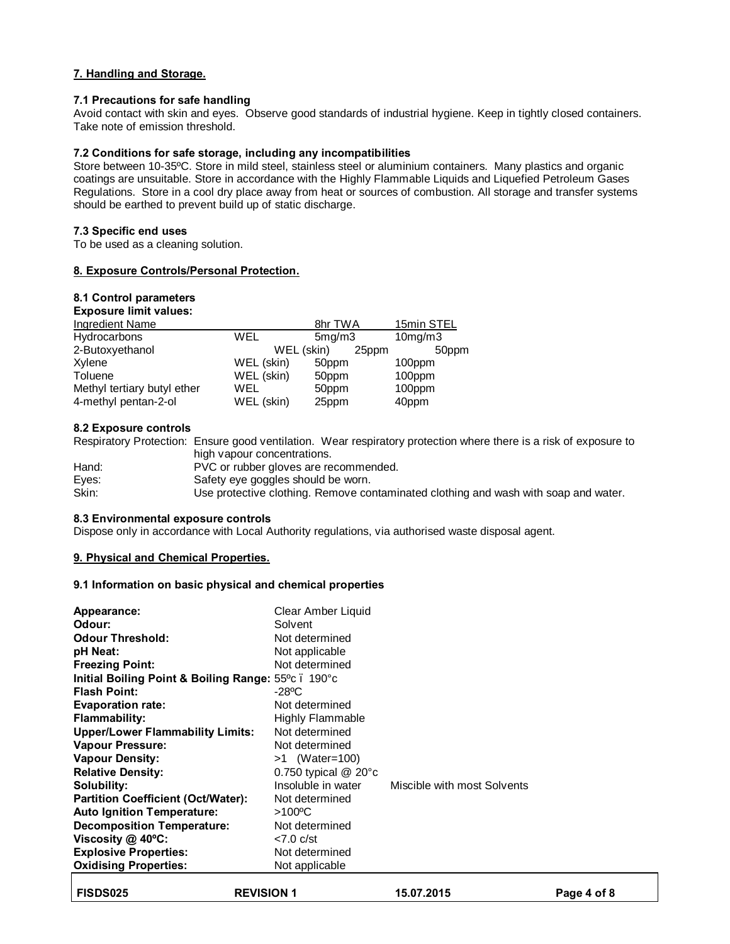## **7. Handling and Storage.**

#### **7.1 Precautions for safe handling**

Avoid contact with skin and eyes. Observe good standards of industrial hygiene. Keep in tightly closed containers. Take note of emission threshold.

### **7.2 Conditions for safe storage, including any incompatibilities**

Store between 10-35ºC. Store in mild steel, stainless steel or aluminium containers. Many plastics and organic coatings are unsuitable. Store in accordance with the Highly Flammable Liquids and Liquefied Petroleum Gases Regulations. Store in a cool dry place away from heat or sources of combustion. All storage and transfer systems should be earthed to prevent build up of static discharge.

## **7.3 Specific end uses**

To be used as a cleaning solution.

## **8. Exposure Controls/Personal Protection.**

#### **8.1 Control parameters Exposure limit values:**

| EXPOSULE IIIIIII VAIUES.    |            |         |            |
|-----------------------------|------------|---------|------------|
| <b>Ingredient Name</b>      |            | 8hr TWA | 15min STEL |
| Hydrocarbons                | WEL        | 5mg/m3  | 10mg/m3    |
| 2-Butoxyethanol             | WEL (skin) | 25ppm   | 50ppm      |
| Xylene                      | WEL (skin) | 50ppm   | 100ppm     |
| Toluene                     | WEL (skin) | 50ppm   | 100ppm     |
| Methyl tertiary butyl ether | WEL        | 50ppm   | 100ppm     |
| 4-methyl pentan-2-ol        | WEL (skin) | 25ppm   | 40ppm      |
|                             |            |         |            |

## **8.2 Exposure controls**

Respiratory Protection: Ensure good ventilation. Wear respiratory protection where there is a risk of exposure to high vapour concentrations.

| Hand: | PVC or rubber gloves are recommended.                                               |
|-------|-------------------------------------------------------------------------------------|
| Eyes: | Safety eye goggles should be worn.                                                  |
| Skin: | Use protective clothing. Remove contaminated clothing and wash with soap and water. |

#### **8.3 Environmental exposure controls**

Dispose only in accordance with Local Authority regulations, via authorised waste disposal agent.

## **9. Physical and Chemical Properties.**

#### **9.1 Information on basic physical and chemical properties**

| Appearance:<br>Odour:<br><b>Odour Threshold:</b><br>pH Neat:<br><b>Freezing Point:</b><br>Initial Boiling Point & Boiling Range: 55°c. 190°c<br><b>Flash Point:</b><br><b>Evaporation rate:</b><br>Flammability:<br><b>Upper/Lower Flammability Limits:</b><br><b>Vapour Pressure:</b><br><b>Vapour Density:</b><br><b>Relative Density:</b><br>Solubility:<br><b>Partition Coefficient (Oct/Water):</b> | Clear Amber Liquid<br>Solvent<br>Not determined<br>Not applicable<br>Not determined<br>$-28^{\circ}$ C<br>Not determined<br><b>Highly Flammable</b><br>Not determined<br>Not determined<br>$>1$ (Water=100)<br>0.750 typical $@$ 20 $^{\circ}$ c<br>Insoluble in water<br>Not determined | Miscible with most Solvents |
|----------------------------------------------------------------------------------------------------------------------------------------------------------------------------------------------------------------------------------------------------------------------------------------------------------------------------------------------------------------------------------------------------------|------------------------------------------------------------------------------------------------------------------------------------------------------------------------------------------------------------------------------------------------------------------------------------------|-----------------------------|
|                                                                                                                                                                                                                                                                                                                                                                                                          |                                                                                                                                                                                                                                                                                          |                             |
|                                                                                                                                                                                                                                                                                                                                                                                                          |                                                                                                                                                                                                                                                                                          |                             |
| <b>Auto Ignition Temperature:</b>                                                                                                                                                                                                                                                                                                                                                                        | $>100^{\circ}$ C                                                                                                                                                                                                                                                                         |                             |
| <b>Decomposition Temperature:</b>                                                                                                                                                                                                                                                                                                                                                                        | Not determined                                                                                                                                                                                                                                                                           |                             |
| Viscosity $@$ 40 $°C$ :                                                                                                                                                                                                                                                                                                                                                                                  | $< 7.0$ c/st                                                                                                                                                                                                                                                                             |                             |
| <b>Explosive Properties:</b>                                                                                                                                                                                                                                                                                                                                                                             | Not determined                                                                                                                                                                                                                                                                           |                             |
| <b>Oxidising Properties:</b>                                                                                                                                                                                                                                                                                                                                                                             | Not applicable                                                                                                                                                                                                                                                                           |                             |
|                                                                                                                                                                                                                                                                                                                                                                                                          |                                                                                                                                                                                                                                                                                          |                             |

| <b>REVISION 1</b><br><b>FISDS025</b> | 15.07.2015 | Page 4 of 8 |
|--------------------------------------|------------|-------------|
|--------------------------------------|------------|-------------|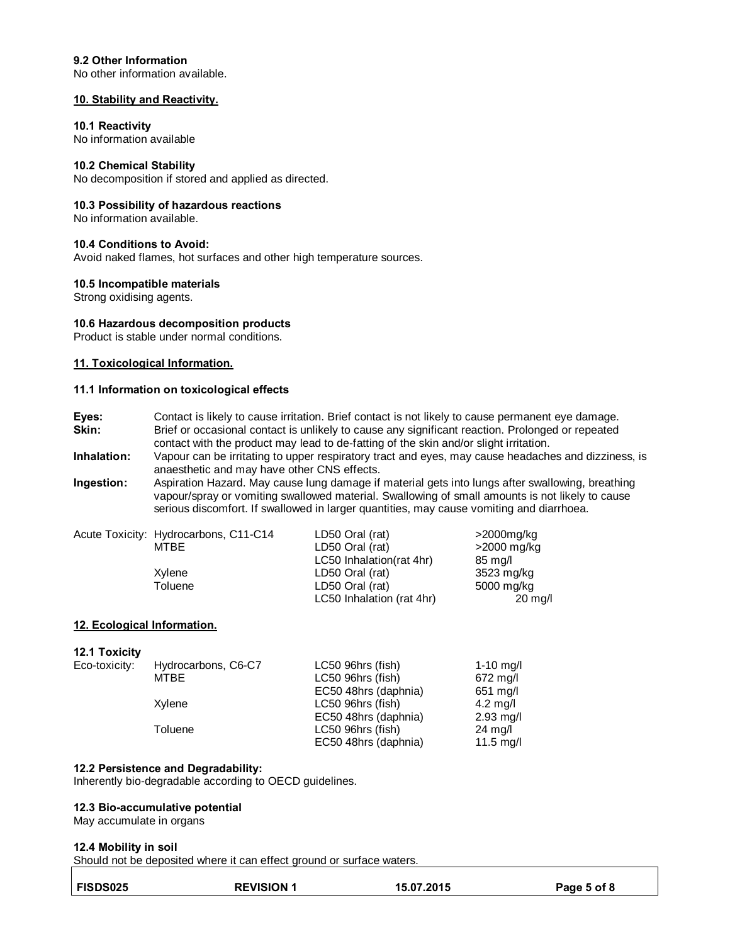#### **9.2 Other Information**

No other information available.

#### **10. Stability and Reactivity.**

#### **10.1 Reactivity**

No information available

#### **10.2 Chemical Stability**

No decomposition if stored and applied as directed.

#### **10.3 Possibility of hazardous reactions**

No information available.

## **10.4 Conditions to Avoid:**

Avoid naked flames, hot surfaces and other high temperature sources.

#### **10.5 Incompatible materials**

Strong oxidising agents.

#### **10.6 Hazardous decomposition products**

Product is stable under normal conditions.

#### **11. Toxicological Information.**

#### **11.1 Information on toxicological effects**

**Eyes:** Contact is likely to cause irritation. Brief contact is not likely to cause permanent eye damage.<br>**Skin:** Brief or occasional contact is unlikely to cause any significant reaction. Prolonged or repeated **Skin:** Brief or occasional contact is unlikely to cause any significant reaction. Prolonged or repeated contact with the product may lead to de-fatting of the skin and/or slight irritation.

**Inhalation:** Vapour can be irritating to upper respiratory tract and eyes, may cause headaches and dizziness, is anaesthetic and may have other CNS effects.

**Ingestion:** Aspiration Hazard. May cause lung damage if material gets into lungs after swallowing, breathing vapour/spray or vomiting swallowed material. Swallowing of small amounts is not likely to cause serious discomfort. If swallowed in larger quantities, may cause vomiting and diarrhoea.

| Acute Toxicity: Hydrocarbons, C11-C14 | LD50 Oral (rat)           | >2000mg/kg        |
|---------------------------------------|---------------------------|-------------------|
| MTBE                                  | LD50 Oral (rat)           | >2000 mg/kg       |
|                                       | LC50 Inhalation(rat 4hr)  | 85 mg/l           |
| Xylene                                | LD50 Oral (rat)           | 3523 mg/kg        |
| Toluene                               | LD50 Oral (rat)           | 5000 mg/kg        |
|                                       | LC50 Inhalation (rat 4hr) | $20 \text{ mg/l}$ |

#### **12. Ecological Information.**

#### **12.1 Toxicity**

| Eco-toxicity: | Hydrocarbons, C6-C7 | LC50 96hrs (fish)    | 1-10 $mg/l$         |
|---------------|---------------------|----------------------|---------------------|
|               | MTBE                | LC50 96hrs (fish)    | 672 mg/l            |
|               |                     | EC50 48hrs (daphnia) | $651$ mg/l          |
|               | Xylene              | LC50 96hrs (fish)    | $4.2 \text{ m}$ g/l |
|               |                     | EC50 48hrs (daphnia) | $2.93$ mg/l         |
|               | Toluene             | LC50 96hrs (fish)    | 24 mg/l             |
|               |                     | EC50 48hrs (daphnia) | 11.5 $mg/l$         |

#### **12.2 Persistence and Degradability:**

Inherently bio-degradable according to OECD guidelines.

#### **12.3 Bio-accumulative potential**

May accumulate in organs

#### **12.4 Mobility in soil**

Should not be deposited where it can effect ground or surface waters.

| <b>FISDS025</b> | <b>REVISION 1</b> | 15.07.2015 | Page 5 of 8 |
|-----------------|-------------------|------------|-------------|
|                 |                   |            |             |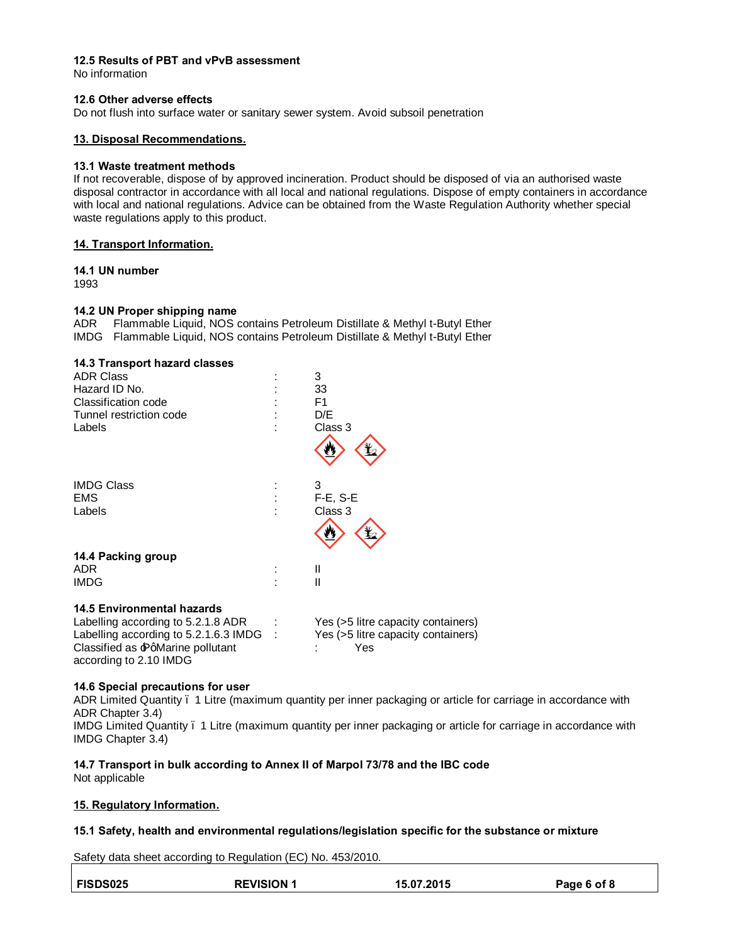## **12.5 Results of PBT and vPvB assessment**

No information

#### **12.6 Other adverse effects**

Do not flush into surface water or sanitary sewer system. Avoid subsoil penetration

#### **13. Disposal Recommendations.**

#### **13.1 Waste treatment methods**

If not recoverable, dispose of by approved incineration. Product should be disposed of via an authorised waste disposal contractor in accordance with all local and national regulations. Dispose of empty containers in accordance with local and national regulations. Advice can be obtained from the Waste Regulation Authority whether special waste regulations apply to this product.

#### **14. Transport Information.**

#### **14.1 UN number**

1993

#### **14.2 UN Proper shipping name**

ADR Flammable Liquid, NOS contains Petroleum Distillate & Methyl t-Butyl Ether IMDG Flammable Liquid, NOS contains Petroleum Distillate & Methyl t-Butyl Ether

| 14.3 Transport hazard classes         |                                    |
|---------------------------------------|------------------------------------|
| <b>ADR Class</b>                      | 3                                  |
| Hazard ID No.                         | 33                                 |
| Classification code                   | F1                                 |
| Tunnel restriction code               | D/E                                |
| Labels                                | Class 3                            |
|                                       | ₩                                  |
| <b>IMDG Class</b>                     | 3                                  |
| <b>EMS</b>                            | $F-E$ , S-E                        |
| Labels                                | Class 3                            |
|                                       | 炒                                  |
| 14.4 Packing group                    |                                    |
| <b>ADR</b>                            | Ш                                  |
| <b>IMDG</b>                           | Ш                                  |
| 14.5 Environmental hazards            |                                    |
| Labelling according to 5.2.1.8 ADR    | Yes (>5 litre capacity containers) |
| Labelling according to 5.2.1.6.3 IMDG | Yes (>5 litre capacity containers) |

## **14.6 Special precautions for user**

according to 2.10 IMDG

ADR Limited Quantity – 1 Litre (maximum quantity per inner packaging or article for carriage in accordance with ADR Chapter 3.4) IMDG Limited Quantity – 1 Litre (maximum quantity per inner packaging or article for carriage in accordance with IMDG Chapter 3.4)

# **14.7 Transport in bulk according to Annex II of Marpol 73/78 and the IBC code**

Not applicable

#### **15. Regulatory Information.**

#### **15.1 Safety, health and environmental regulations/legislation specific for the substance or mixture**

Safety data sheet according to Regulation (EC) No. 453/2010.

Classified as  $\text{Pq}$ Marine pollutant : Yes

| <b>REVISION 1</b><br><b>FISDS025</b><br>15.07.2015<br>Page 6 of 8 |  |
|-------------------------------------------------------------------|--|
|-------------------------------------------------------------------|--|

H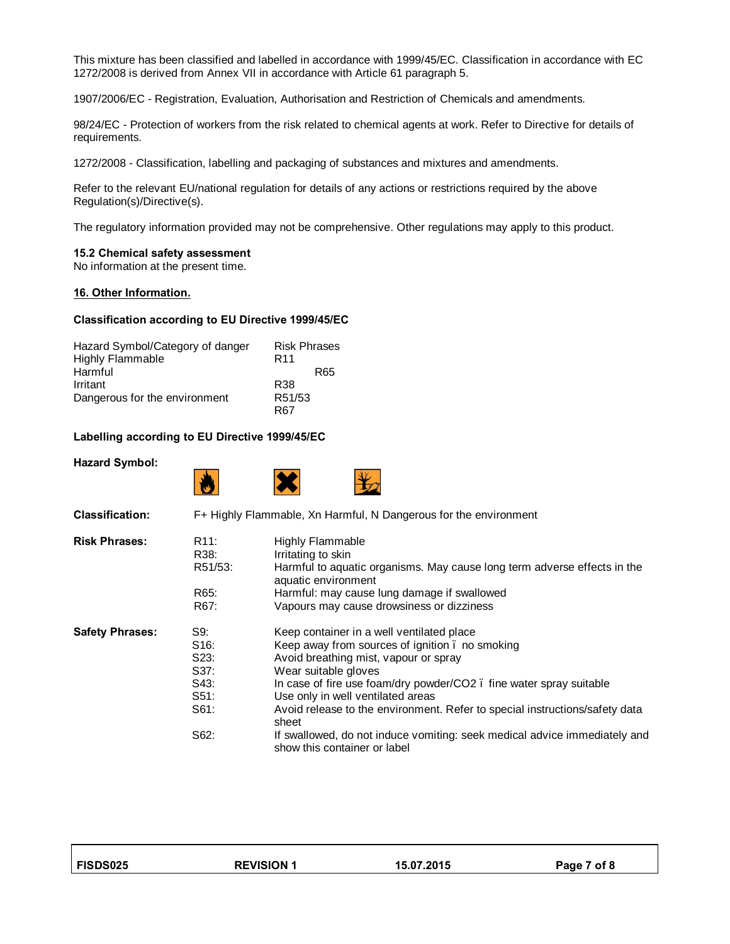This mixture has been classified and labelled in accordance with 1999/45/EC. Classification in accordance with EC 1272/2008 is derived from Annex VII in accordance with Article 61 paragraph 5.

1907/2006/EC - Registration, Evaluation, Authorisation and Restriction of Chemicals and amendments.

98/24/EC - Protection of workers from the risk related to chemical agents at work. Refer to Directive for details of requirements.

1272/2008 - Classification, labelling and packaging of substances and mixtures and amendments.

Refer to the relevant EU/national regulation for details of any actions or restrictions required by the above Regulation(s)/Directive(s).

The regulatory information provided may not be comprehensive. Other regulations may apply to this product.

#### **15.2 Chemical safety assessment**

No information at the present time.

#### **16. Other Information.**

#### **Classification according to EU Directive 1999/45/EC**

| Hazard Symbol/Category of danger | <b>Risk Phrases</b> |
|----------------------------------|---------------------|
| <b>Highly Flammable</b>          | R <sub>11</sub>     |
| Harmful                          | R65                 |
| Irritant                         | R38                 |
| Dangerous for the environment    | R51/53              |
|                                  | <b>R67</b>          |

#### **Labelling according to EU Directive 1999/45/EC**

#### **Hazard Symbol:**

| <b>Classification:</b> |                                                                          | F+ Highly Flammable, Xn Harmful, N Dangerous for the environment                                                                                                                                                                                                                                                                                                                                                                                                             |
|------------------------|--------------------------------------------------------------------------|------------------------------------------------------------------------------------------------------------------------------------------------------------------------------------------------------------------------------------------------------------------------------------------------------------------------------------------------------------------------------------------------------------------------------------------------------------------------------|
| <b>Risk Phrases:</b>   | R <sub>11:</sub><br>R38:<br>R51/53:<br>R65:<br>R67:                      | <b>Highly Flammable</b><br>Irritating to skin<br>Harmful to aquatic organisms. May cause long term adverse effects in the<br>aquatic environment<br>Harmful: may cause lung damage if swallowed<br>Vapours may cause drowsiness or dizziness                                                                                                                                                                                                                                 |
| <b>Safety Phrases:</b> | S9:<br>S <sub>16</sub> :<br>S23:<br>S37:<br>S43:<br>S51:<br>S61:<br>S62: | Keep container in a well ventilated place<br>Keep away from sources of ignition. no smoking<br>Avoid breathing mist, vapour or spray<br>Wear suitable gloves<br>In case of fire use foam/dry powder/CO2. fine water spray suitable<br>Use only in well ventilated areas<br>Avoid release to the environment. Refer to special instructions/safety data<br>sheet<br>If swallowed, do not induce vomiting: seek medical advice immediately and<br>show this container or label |

| <b>FISDS025</b> |
|-----------------|
|-----------------|